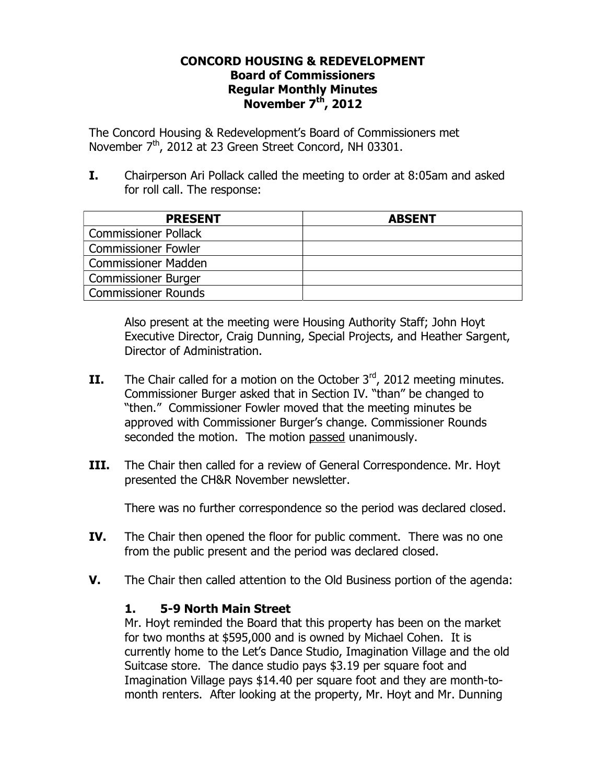## **CONCORD HOUSING & REDEVELOPMENT Board of Commissioners Regular Monthly Minutes November 7th, 2012**

The Concord Housing & Redevelopment's Board of Commissioners met November  $7<sup>th</sup>$ , 2012 at 23 Green Street Concord, NH 03301.

**I.** Chairperson Ari Pollack called the meeting to order at 8:05am and asked for roll call. The response:

| <b>PRESENT</b>              | <b>ABSENT</b> |
|-----------------------------|---------------|
| <b>Commissioner Pollack</b> |               |
| <b>Commissioner Fowler</b>  |               |
| <b>Commissioner Madden</b>  |               |
| <b>Commissioner Burger</b>  |               |
| Commissioner Rounds         |               |

Also present at the meeting were Housing Authority Staff; John Hoyt Executive Director, Craig Dunning, Special Projects, and Heather Sargent, Director of Administration.

- **II.** The Chair called for a motion on the October  $3^{rd}$ , 2012 meeting minutes. Commissioner Burger asked that in Section IV. "than" be changed to "then." Commissioner Fowler moved that the meeting minutes be approved with Commissioner Burger's change. Commissioner Rounds seconded the motion. The motion passed unanimously.
- **III.** The Chair then called for a review of General Correspondence. Mr. Hoyt presented the CH&R November newsletter.

There was no further correspondence so the period was declared closed.

- **IV.** The Chair then opened the floor for public comment. There was no one from the public present and the period was declared closed.
- **V.** The Chair then called attention to the Old Business portion of the agenda:

## **1. 5-9 North Main Street**

Mr. Hoyt reminded the Board that this property has been on the market for two months at \$595,000 and is owned by Michael Cohen. It is currently home to the Let's Dance Studio, Imagination Village and the old Suitcase store. The dance studio pays \$3.19 per square foot and Imagination Village pays \$14.40 per square foot and they are month-tomonth renters. After looking at the property, Mr. Hoyt and Mr. Dunning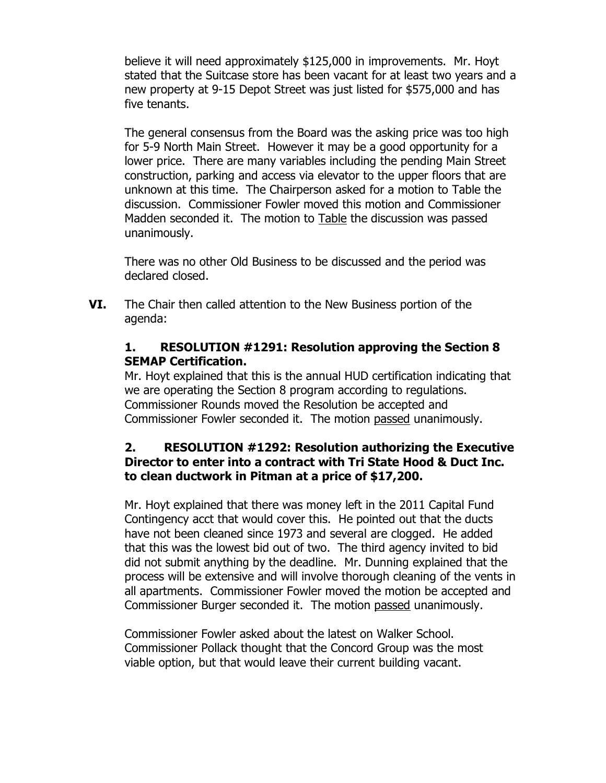believe it will need approximately \$125,000 in improvements. Mr. Hoyt stated that the Suitcase store has been vacant for at least two years and a new property at 9-15 Depot Street was just listed for \$575,000 and has five tenants.

The general consensus from the Board was the asking price was too high for 5-9 North Main Street. However it may be a good opportunity for a lower price. There are many variables including the pending Main Street construction, parking and access via elevator to the upper floors that are unknown at this time. The Chairperson asked for a motion to Table the discussion. Commissioner Fowler moved this motion and Commissioner Madden seconded it. The motion to Table the discussion was passed unanimously.

There was no other Old Business to be discussed and the period was declared closed.

**VI.** The Chair then called attention to the New Business portion of the agenda:

## **1. RESOLUTION #1291: Resolution approving the Section 8 SEMAP Certification.**

Mr. Hoyt explained that this is the annual HUD certification indicating that we are operating the Section 8 program according to regulations. Commissioner Rounds moved the Resolution be accepted and Commissioner Fowler seconded it. The motion passed unanimously.

## **2. RESOLUTION #1292: Resolution authorizing the Executive Director to enter into a contract with Tri State Hood & Duct Inc. to clean ductwork in Pitman at a price of \$17,200.**

Mr. Hoyt explained that there was money left in the 2011 Capital Fund Contingency acct that would cover this. He pointed out that the ducts have not been cleaned since 1973 and several are clogged. He added that this was the lowest bid out of two. The third agency invited to bid did not submit anything by the deadline. Mr. Dunning explained that the process will be extensive and will involve thorough cleaning of the vents in all apartments. Commissioner Fowler moved the motion be accepted and Commissioner Burger seconded it. The motion passed unanimously.

Commissioner Fowler asked about the latest on Walker School. Commissioner Pollack thought that the Concord Group was the most viable option, but that would leave their current building vacant.